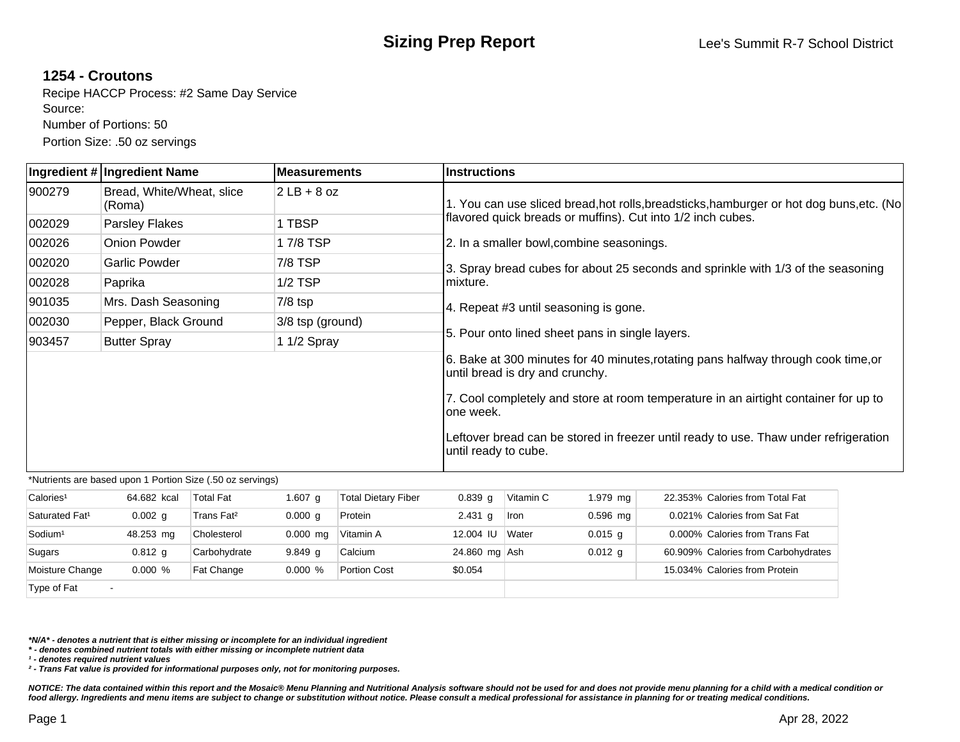## **1254 - Croutons**

Recipe HACCP Process: #2 Same Day Service Source: Number of Portions: 50 Portion Size: .50 oz servings

|        | Ingredient # Ingredient Name        | lMeasurements    | lInstructions                                                                                                         |  |  |  |  |  |  |  |
|--------|-------------------------------------|------------------|-----------------------------------------------------------------------------------------------------------------------|--|--|--|--|--|--|--|
| 900279 | Bread, White/Wheat, slice<br>(Roma) | $2LB + 8 oz$     | 1. You can use sliced bread, hot rolls, breadsticks, hamburger or hot dog buns, etc. (No                              |  |  |  |  |  |  |  |
| 002029 | Parsley Flakes                      | 1 TBSP           | flavored quick breads or muffins). Cut into 1/2 inch cubes.                                                           |  |  |  |  |  |  |  |
| 002026 | Onion Powder                        | 17/8 TSP         | 2. In a smaller bowl, combine seasonings.                                                                             |  |  |  |  |  |  |  |
| 002020 | <b>Garlic Powder</b>                | 7/8 TSP          | 3. Spray bread cubes for about 25 seconds and sprinkle with 1/3 of the seasoning                                      |  |  |  |  |  |  |  |
| 002028 | Paprika                             | $1/2$ TSP        | mixture.                                                                                                              |  |  |  |  |  |  |  |
| 901035 | Mrs. Dash Seasoning                 | $7/8$ tsp        | 4. Repeat #3 until seasoning is gone.                                                                                 |  |  |  |  |  |  |  |
| 002030 | Pepper, Black Ground                | 3/8 tsp (ground) |                                                                                                                       |  |  |  |  |  |  |  |
| 903457 | <b>Butter Spray</b>                 | 1 1/2 Spray      | 5. Pour onto lined sheet pans in single layers.                                                                       |  |  |  |  |  |  |  |
|        |                                     |                  | 6. Bake at 300 minutes for 40 minutes, rotating pans halfway through cook time, or<br>until bread is dry and crunchy. |  |  |  |  |  |  |  |
|        |                                     |                  | 7. Cool completely and store at room temperature in an airtight container for up to<br>lone week.                     |  |  |  |  |  |  |  |
|        |                                     |                  | Leftover bread can be stored in freezer until ready to use. Thaw under refrigeration<br>until ready to cube.          |  |  |  |  |  |  |  |

\*Nutrients are based upon 1 Portion Size (.50 oz servings)

| Calories <sup>1</sup>      | 64.682 kcal        | Total Fat              | 1.607 $q$          | <b>Total Dietary Fiber</b> | $0.839$ g     | Vitamin C   | 1.979 mg   | 22.353% Calories from Total Fat     |
|----------------------------|--------------------|------------------------|--------------------|----------------------------|---------------|-------------|------------|-------------------------------------|
| Saturated Fat <sup>1</sup> | 0.002 <sub>q</sub> | Trans Fat <sup>2</sup> | 0.000 q            | Protein                    | 2.431 $g$     | <b>Iron</b> | $0.596$ mg | 0.021% Calories from Sat Fat        |
| Sodium <sup>1</sup>        | 48.253 mg          | Cholesterol            | $0.000$ mg         | Vitamin A                  | 12,004 IU     | Water       | $0.015$ q  | 0.000% Calories from Trans Fat      |
| Sugars                     | $0.812$ g          | Carbohydrate           | 9.849 <sub>q</sub> | Calcium                    | 24.860 mg Ash |             | $0.012$ q  | 60.909% Calories from Carbohydrates |
| Moisture Change            | $0.000 \%$         | <b>Fat Change</b>      | $0.000 \%$         | <b>Portion Cost</b>        | \$0.054       |             |            | 15.034% Calories from Protein       |
| Type of Fat                |                    |                        |                    |                            |               |             |            |                                     |

**\*N/A\* - denotes a nutrient that is either missing or incomplete for an individual ingredient**

**\* - denotes combined nutrient totals with either missing or incomplete nutrient data**

**¹ - denotes required nutrient values**

**² - Trans Fat value is provided for informational purposes only, not for monitoring purposes.**

NOTICE: The data contained within this report and the Mosaic® Menu Planning and Nutritional Analysis software should not be used for and does not provide menu planning for a child with a medical condition or **food allergy. Ingredients and menu items are subject to change or substitution without notice. Please consult a medical professional for assistance in planning for or treating medical conditions.**